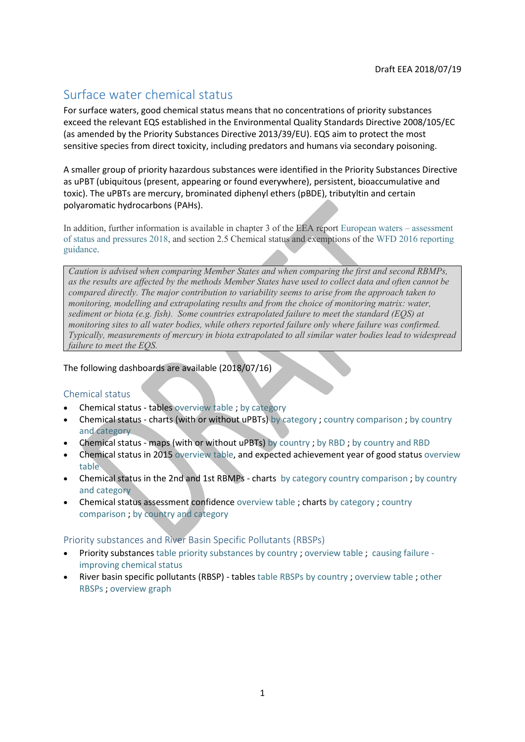# Surface water chemical status

For surface waters, good chemical status means that no concentrations of priority substances exceed the relevant EQS established in the Environmental Quality Standards Directive 2008/105/EC (as amended by the Priority Substances Directive 2013/39/EU). EQS aim to protect the most sensitive species from direct toxicity, including predators and humans via secondary poisoning.

A smaller group of priority hazardous substances were identified in the Priority Substances Directive as uPBT (ubiquitous (present, appearing or found everywhere), persistent, bioaccumulative and toxic). The uPBTs are mercury, brominated diphenyl ethers (pBDE), tributyltin and certain polyaromatic hydrocarbons (PAHs).

In addition, further information is available in chapter 3 of the EEA report [European waters](https://www.eea.europa.eu/publications/state-of-water) – assessment [of status and pressures 2018,](https://www.eea.europa.eu/publications/state-of-water) and section 2.5 Chemical status and exemptions of the [WFD 2016 reporting](http://cdr.eionet.europa.eu/help/WFD/WFD_521_2016)  [guidance.](http://cdr.eionet.europa.eu/help/WFD/WFD_521_2016)

*Caution is advised when comparing Member States and when comparing the first and second RBMPs, as the results are affected by the methods Member States have used to collect data and often cannot be compared directly. The major contribution to variability seems to arise from the approach taken to monitoring, modelling and extrapolating results and from the choice of monitoring matrix: water, sediment or biota (e.g. fish). Some countries extrapolated failure to meet the standard (EQS) at monitoring sites to all water bodies, while others reported failure only where failure was confirmed. Typically, measurements of mercury in biota extrapolated to all similar water bodies lead to widespread failure to meet the EQS.*

The following dashboards are available (2018/07/16)

### Chemical status

- Chemical status tables [overview table](https://tableau.discomap.eea.europa.eu/t/Wateronline/views/WISE_SOW_SurfaceWater_Statistics/SWBbyChemicalstatus?:embed=y&:showShareOptions=true&:display_count=no&:showVizHome=no) ; [by category](https://tableau.discomap.eea.europa.eu/t/Wateronline/views/WISE_SOW_SurfaceWater_Statistics/SWBbyCategoryandChemicalstatus?:embed=y&:showShareOptions=true&:display_count=no&:showVizHome=no)
- Chemical status charts (with or without uPBTs) [by category](https://tableau.discomap.eea.europa.eu/t/Wateronline/views/WISE_SOW_SWB_SWPrioritySubstanceWithoutUPBT/Category?:embed=y&:showAppBanner=false&:showShareOptions=true&:display_count=no&:showVizHome=no) ; [country comparison](https://tableau.discomap.eea.europa.eu/t/Wateronline/views/WISE_SOW_SWB_SWPrioritySubstanceWithoutUPBT/Country?:embed=y&:showAppBanner=false&:showShareOptions=true&:display_count=no&:showVizHome=no) ; by country [and category](https://tableau.discomap.eea.europa.eu/t/Wateronline/views/WISE_SOW_SWB_SWPrioritySubstanceWithoutUPBT/Country_Category?:embed=y&:showAppBanner=false&:showShareOptions=true&:display_count=no&:showVizHome=no)
- Chemical status maps (with or without uPBTs) [by country](https://tableau.discomap.eea.europa.eu/t/Wateronline/views/WISE_SOW_SWB_Chemical_Status_Maps/SWB_Failing_Good_Chemical_Status_NUTS0?iframeSizedToWindow=true&:embed=y&:showAppBanner=false&:display_count=no&:showVizHome=no) ; [by RBD](https://tableau.discomap.eea.europa.eu/t/Wateronline/views/WISE_SOW_SWB_Chemical_Status_Maps/SWB_Failing_Good_Chemical_Status_RBD?iframeSizedToWindow=true&:embed=y&:showAppBanner=false&:display_count=no&:showVizHome=no) ; [by country and RBD](https://tableau.discomap.eea.europa.eu/t/Wateronline/views/WISE_SOW_SWB_Chemical_Status_Maps/SWB_Failing_Good_Chemical_Status_Country?iframeSizedToWindow=true&:embed=y&:showAppBanner=false&:display_count=no&:showVizHome=no)
- Chemical status in 2015 [overview table,](https://tableau.discomap.eea.europa.eu/t/Wateronline/views/WISE_SOW_SWB_ExpectedStatus/SWB_swChemicalStatusExpectedGoodIn2015?:embed=y&:showAppBanner=false&:showShareOptions=true&:display_count=no&:showVizHome=no) and expected achievement year of good status [overview](https://tableau.discomap.eea.europa.eu/t/Wateronline/views/WISE_SOW_SWB_ExpectedStatus/SWB_swChemicalStatusExpectedAchievementDate?:embed=y&:showAppBanner=false&:showShareOptions=true&:display_count=no&:showVizHome=no)  [table](https://tableau.discomap.eea.europa.eu/t/Wateronline/views/WISE_SOW_SWB_ExpectedStatus/SWB_swChemicalStatusExpectedAchievementDate?:embed=y&:showAppBanner=false&:showShareOptions=true&:display_count=no&:showVizHome=no)
- Chemical status in the 2nd and 1st RBMPs charts [by category](https://tableau.discomap.eea.europa.eu/t/Wateronline/views/WISE_SOW_SWB_Status_Compare/SWB_ChemicalStatus_Category?:embed=y&:showAppBanner=false&:showShareOptions=true&:display_count=no&:showVizHome=no;) [country comparison](https://tableau.discomap.eea.europa.eu/t/Wateronline/views/WISE_SOW_SWB_Status_Compare/SWB_ChemicalStatus_Country?:embed=y&:showAppBanner=false&:showShareOptions=true&:display_count=no&:showVizHome=no); by country [and category](https://tableau.discomap.eea.europa.eu/t/Wateronline/views/WISE_SOW_SWB_Status_Compare/SWB_ChemicalStatus_CategoryCountry?:embed=y&:showAppBanner=false&:showShareOptions=true&:display_count=no&:showVizHome=no)
- Chemical status assessment confidence [overview table](https://tableau.discomap.eea.europa.eu/t/Wateronline/views/WISE_SOW_SWB_ExpectedStatus/SWB_swChemicalAssessmentConfidence?:embed=y&:showAppBanner=false&:showShareOptions=true&:display_count=no&:showVizHome=no) ; charts [by category](https://tableau.discomap.eea.europa.eu/t/Wateronline/views/WISE_SOW_AssessmentConfidence/SWB_Confidence_Category?:embed=y&:showAppBanner=false&:showShareOptions=true&:display_count=no&:showVizHome=no) ; [country](https://tableau.discomap.eea.europa.eu/t/Wateronline/views/WISE_SOW_AssessmentConfidence/SWB_Confidence_Country?:iid=2&:embed=y&:isGuestRedirectFromVizportal=y&:display_count=no&:showVizHome=no)  [comparison](https://tableau.discomap.eea.europa.eu/t/Wateronline/views/WISE_SOW_AssessmentConfidence/SWB_Confidence_Country?:iid=2&:embed=y&:isGuestRedirectFromVizportal=y&:display_count=no&:showVizHome=no) ; [by country and category](https://tableau.discomap.eea.europa.eu/t/Wateronline/views/WISE_SOW_AssessmentConfidence/SWB_Confidence_Category_Country?:embed=y&:showAppBanner=false&:showShareOptions=true&:display_count=no&:showVizHome=no)

Priority substances and River Basin Specific Pollutants (RBSPs)

- Priority substances [table priority substances by country](https://tableau.discomap.eea.europa.eu/t/Wateronline/views/WISE_SOW_PrioritySubstance/SWB_SWPrioritySubstance?:embed=y&:showAppBanner=false&:showShareOptions=true&:display_count=no&:showVizHome=no) ; [overview table](https://tableau.discomap.eea.europa.eu/t/Wateronline/views/WISE_SOW_PrioritySubstance/SWB_SWPrioritySubstance_Europe?:embed=y&:showAppBanner=false&:showShareOptions=true&:display_count=no&:showVizHome=no) ; [causing failure](https://tableau.discomap.eea.europa.eu/t/Wateronline/views/WISE_SOW_PrioritySubstance/SWB_SWPrioritySubstance_Europe_G?:embed=y&:showAppBanner=false&:showShareOptions=true&:display_count=no&:showVizHome=no)  [improving chemical status](https://tableau.discomap.eea.europa.eu/t/Wateronline/views/WISE_SOW_PrioritySubstance/SWB_SWPrioritySubstance_Europe_G?:embed=y&:showAppBanner=false&:showShareOptions=true&:display_count=no&:showVizHome=no)
- River basin specific pollutants (RBSP) tables [table RBSPs by country](https://tableau.discomap.eea.europa.eu/t/Wateronline/views/WISE_SOW_FailingRBSP/SWB_FailingRBSP?:embed=y&:showAppBanner=false&:showShareOptions=true&:display_count=no&:showVizHome=no) ; [overview table](https://tableau.discomap.eea.europa.eu/t/Wateronline/views/WISE_SOW_FailingRBSP/SWB_FailingRBSP_Europe?:embed=y&:showAppBanner=false&:showShareOptions=true&:display_count=no&:showVizHome=no) ; [other](https://tableau.discomap.eea.europa.eu/t/Wateronline/views/WISE_SOW_FailingRBSPOther/SWB_FailingRBSPOther?:embed=y&:showAppBanner=false&:showShareOptions=true&:display_count=no&:showVizHome=no)  [RBSPs](https://tableau.discomap.eea.europa.eu/t/Wateronline/views/WISE_SOW_FailingRBSPOther/SWB_FailingRBSPOther?:embed=y&:showAppBanner=false&:showShareOptions=true&:display_count=no&:showVizHome=no) ; [overview graph](https://tableau.discomap.eea.europa.eu/t/Wateronline/views/WISE_SOW_FailingRBSP/SWB_FailingRBSP_Europe_G?iframeSizedToWindow=true&:embed=y&:showAppBanner=false&:display_count=no&:showVizHome=no)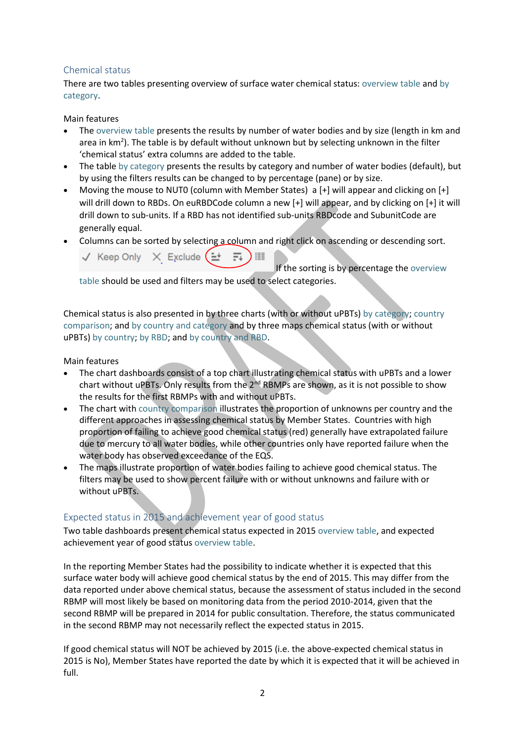## Chemical status

There are two tables presenting overview of surface water chemical status: [overview table](https://tableau.discomap.eea.europa.eu/t/Wateronline/views/WISE_SOW_SurfaceWater_Statistics/SWBbyChemicalstatus?:embed=y&:showShareOptions=true&:display_count=no&:showVizHome=no) and [by](https://tableau.discomap.eea.europa.eu/t/Wateronline/views/WISE_SOW_SurfaceWater_Statistics/SWBbyCategoryandChemicalstatus?:embed=y&:showShareOptions=true&:display_count=no&:showVizHome=no)  [category.](https://tableau.discomap.eea.europa.eu/t/Wateronline/views/WISE_SOW_SurfaceWater_Statistics/SWBbyCategoryandChemicalstatus?:embed=y&:showShareOptions=true&:display_count=no&:showVizHome=no)

Main features

- The [overview table](https://tableau.discomap.eea.europa.eu/t/Wateronline/views/WISE_SOW_SurfaceWater_Statistics/SWBbyChemicalstatus?:embed=y&:showShareOptions=true&:display_count=no&:showVizHome=no) presents the results by number of water bodies and by size (length in km and area in km<sup>2</sup>). The table is by default without unknown but by selecting unknown in the filter 'chemical status' extra columns are added to the table.
- The table [by category](https://tableau.discomap.eea.europa.eu/t/Wateronline/views/WISE_SOW_SurfaceWater_Statistics/SWBbyCategoryandChemicalstatus?:embed=y&:showShareOptions=true&:display_count=no&:showVizHome=no) presents the results by category and number of water bodies (default), but by using the filters results can be changed to by percentage (pane) or by size.
- Moving the mouse to NUT0 (column with Member States) a [+] will appear and clicking on [+] will drill down to RBDs. On euRBDCode column a new [+] will appear, and by clicking on [+] it will drill down to sub-units. If a RBD has not identified sub-units RBDcode and SubunitCode are generally equal.
- Columns can be sorted by selecting a column and right click on ascending or descending sort.  $\sqrt{ }$  Keep Only  $\sqrt{ }$  Exclude  $($   $\pm$

If the sorting is by percentage th[e overview](https://tableau.discomap.eea.europa.eu/t/Wateronline/views/WISE_SOW_SurfaceWater_Statistics/SWBbyChemicalstatus?:embed=y&:showShareOptions=true&:display_count=no&:showVizHome=no)  [table](https://tableau.discomap.eea.europa.eu/t/Wateronline/views/WISE_SOW_SurfaceWater_Statistics/SWBbyChemicalstatus?:embed=y&:showShareOptions=true&:display_count=no&:showVizHome=no) should be used and filters may be used to select categories.

Chemical status is also presented in by three charts (with or without uPBTs) [by category;](https://tableau.discomap.eea.europa.eu/t/Wateronline/views/WISE_SOW_SWB_SWPrioritySubstanceWithoutUPBT/Category?:embed=y&:showAppBanner=false&:showShareOptions=true&:display_count=no&:showVizHome=no) [country](https://tableau.discomap.eea.europa.eu/t/Wateronline/views/WISE_SOW_SWB_SWPrioritySubstanceWithoutUPBT/Country?:embed=y&:showAppBanner=false&:showShareOptions=true&:display_count=no&:showVizHome=no)  [comparison;](https://tableau.discomap.eea.europa.eu/t/Wateronline/views/WISE_SOW_SWB_SWPrioritySubstanceWithoutUPBT/Country?:embed=y&:showAppBanner=false&:showShareOptions=true&:display_count=no&:showVizHome=no) and [by country and category](https://tableau.discomap.eea.europa.eu/t/Wateronline/views/WISE_SOW_SWB_SWPrioritySubstanceWithoutUPBT/Country_Category?:embed=y&:showAppBanner=false&:showShareOptions=true&:display_count=no&:showVizHome=no) and by three maps chemical status (with or without uPBTs) [by country;](https://tableau.discomap.eea.europa.eu/t/Wateronline/views/WISE_SOW_SWB_Chemical_Status_Maps/SWB_Failing_Good_Chemical_Status_NUTS0?iframeSizedToWindow=true&:embed=y&:showAppBanner=false&:display_count=no&:showVizHome=no) [by RBD;](https://tableau.discomap.eea.europa.eu/t/Wateronline/views/WISE_SOW_SWB_Chemical_Status_Maps/SWB_Failing_Good_Chemical_Status_RBD?iframeSizedToWindow=true&:embed=y&:showAppBanner=false&:display_count=no&:showVizHome=no) and [by country and RBD.](https://tableau.discomap.eea.europa.eu/t/Wateronline/views/WISE_SOW_SWB_Chemical_Status_Maps/SWB_Failing_Good_Chemical_Status_Country?iframeSizedToWindow=true&:embed=y&:showAppBanner=false&:display_count=no&:showVizHome=no)

Main features

- The chart dashboards consist of a top chart illustrating chemical status with uPBTs and a lower chart without uPBTs. Only results from the 2<sup>nd</sup> RBMPs are shown, as it is not possible to show the results for the first RBMPs with and without uPBTs.
- The chart with [country comparison](https://tableau.discomap.eea.europa.eu/t/Wateronline/views/WISE_SOW_SWB_SWPrioritySubstanceWithoutUPBT/Country?:embed=y&:showAppBanner=false&:showShareOptions=true&:display_count=no&:showVizHome=no) illustrates the proportion of unknowns per country and the different approaches in assessing chemical status by Member States. Countries with high proportion of failing to achieve good chemical status (red) generally have extrapolated failure due to mercury to all water bodies, while other countries only have reported failure when the water body has observed exceedance of the EQS.
- The maps illustrate proportion of water bodies failing to achieve good chemical status. The filters may be used to show percent failure with or without unknowns and failure with or without uPBTs.

# Expected status in 2015 and achievement year of good status

Two table dashboards present chemical status expected in 2015 [overview table,](https://tableau.discomap.eea.europa.eu/t/Wateronline/views/WISE_SOW_SWB_ExpectedStatus/SWB_swChemicalStatusExpectedGoodIn2015?:embed=y&:showAppBanner=false&:showShareOptions=true&:display_count=no&:showVizHome=no) and expected achievement year of good status [overview table.](https://tableau.discomap.eea.europa.eu/t/Wateronline/views/WISE_SOW_SWB_ExpectedStatus/SWB_swChemicalStatusExpectedAchievementDate?:embed=y&:showAppBanner=false&:showShareOptions=true&:display_count=no&:showVizHome=no)

In the reporting Member States had the possibility to indicate whether it is expected that this surface water body will achieve good chemical status by the end of 2015. This may differ from the data reported under above chemical status, because the assessment of status included in the second RBMP will most likely be based on monitoring data from the period 2010-2014, given that the second RBMP will be prepared in 2014 for public consultation. Therefore, the status communicated in the second RBMP may not necessarily reflect the expected status in 2015.

If good chemical status will NOT be achieved by 2015 (i.e. the above-expected chemical status in 2015 is No), Member States have reported the date by which it is expected that it will be achieved in full.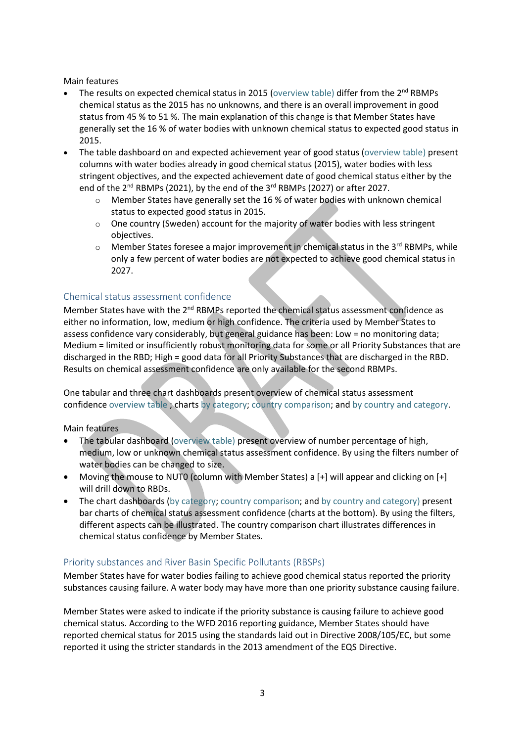Main features

- The results on expected chemical status in 2015 [\(overview table\)](https://tableau.discomap.eea.europa.eu/t/Wateronline/views/WISE_SOW_SWB_ExpectedStatus/SWB_swChemicalStatusExpectedGoodIn2015?:embed=y&:showAppBanner=false&:showShareOptions=true&:display_count=no&:showVizHome=no) differ from the  $2<sup>nd</sup>$  RBMPs chemical status as the 2015 has no unknowns, and there is an overall improvement in good status from 45 % to 51 %. The main explanation of this change is that Member States have generally set the 16 % of water bodies with unknown chemical status to expected good status in 2015.
- The table dashboard on and expected achievement year of good status [\(overview table\)](https://tableau.discomap.eea.europa.eu/t/Wateronline/views/WISE_SOW_SWB_ExpectedStatus/SWB_swChemicalStatusExpectedAchievementDate?:embed=y&:showAppBanner=false&:showShareOptions=true&:display_count=no&:showVizHome=no) present columns with water bodies already in good chemical status (2015), water bodies with less stringent objectives, and the expected achievement date of good chemical status either by the end of the 2<sup>nd</sup> RBMPs (2021), by the end of the 3<sup>rd</sup> RBMPs (2027) or after 2027.
	- o Member States have generally set the 16 % of water bodies with unknown chemical status to expected good status in 2015.
	- $\circ$  One country (Sweden) account for the majority of water bodies with less stringent objectives.
	- o Member States foresee a major improvement in chemical status in the 3<sup>rd</sup> RBMPs, while only a few percent of water bodies are not expected to achieve good chemical status in 2027.

### Chemical status assessment confidence

Member States have with the 2<sup>nd</sup> RBMPs reported the chemical status assessment confidence as either no information, low, medium or high confidence. The criteria used by Member States to assess confidence vary considerably, but general guidance has been: Low = no monitoring data; Medium = limited or insufficiently robust monitoring data for some or all Priority Substances that are discharged in the RBD; High = good data for all Priority Substances that are discharged in the RBD. Results on chemical assessment confidence are only available for the second RBMPs.

One tabular and three chart dashboards present overview of chemical status assessment confidence [overview table](https://tableau.discomap.eea.europa.eu/t/Wateronline/views/WISE_SOW_SWB_ExpectedStatus/SWB_swChemicalAssessmentConfidence?:embed=y&:showAppBanner=false&:showShareOptions=true&:display_count=no&:showVizHome=no) ; charts [by category;](https://tableau.discomap.eea.europa.eu/t/Wateronline/views/WISE_SOW_AssessmentConfidence/SWB_Confidence_Category?:embed=y&:showAppBanner=false&:showShareOptions=true&:display_count=no&:showVizHome=no) [country comparison;](https://tableau.discomap.eea.europa.eu/t/Wateronline/views/WISE_SOW_AssessmentConfidence/SWB_Confidence_Country?:iid=2&:embed=y&:isGuestRedirectFromVizportal=y&:display_count=no&:showVizHome=no) an[d by country and category.](https://tableau.discomap.eea.europa.eu/t/Wateronline/views/WISE_SOW_AssessmentConfidence/SWB_Confidence_Category_Country?:embed=y&:showAppBanner=false&:showShareOptions=true&:display_count=no&:showVizHome=no)

Main features

- The tabular dashboard [\(overview table\)](https://tableau.discomap.eea.europa.eu/t/Wateronline/views/WISE_SOW_SWB_ExpectedStatus/SWB_swChemicalAssessmentConfidence?:embed=y&:showAppBanner=false&:showShareOptions=true&:display_count=no&:showVizHome=no) present overview of number percentage of high, medium, low or unknown chemical status assessment confidence. By using the filters number of water bodies can be changed to size.
- Moving the mouse to NUT0 (column with Member States) a [+] will appear and clicking on [+] will drill down to RBDs.
- The chart dashboards [\(by category;](https://tableau.discomap.eea.europa.eu/t/Wateronline/views/WISE_SOW_AssessmentConfidence/SWB_Confidence_Category?:embed=y&:showAppBanner=false&:showShareOptions=true&:display_count=no&:showVizHome=no) [country comparison;](https://tableau.discomap.eea.europa.eu/t/Wateronline/views/WISE_SOW_AssessmentConfidence/SWB_Confidence_Country?:iid=2&:embed=y&:isGuestRedirectFromVizportal=y&:display_count=no&:showVizHome=no) an[d by country and category\)](https://tableau.discomap.eea.europa.eu/t/Wateronline/views/WISE_SOW_AssessmentConfidence/SWB_Confidence_Category_Country?:embed=y&:showAppBanner=false&:showShareOptions=true&:display_count=no&:showVizHome=no) present bar charts of chemical status assessment confidence (charts at the bottom). By using the filters, different aspects can be illustrated. The country comparison chart illustrates differences in chemical status confidence by Member States.

#### Priority substances and River Basin Specific Pollutants (RBSPs)

Member States have for water bodies failing to achieve good chemical status reported the priority substances causing failure. A water body may have more than one priority substance causing failure.

Member States were asked to indicate if the priority substance is causing failure to achieve good chemical status. According to the WFD 2016 reporting guidance, Member States should have reported chemical status for 2015 using the standards laid out in Directive 2008/105/EC, but some reported it using the stricter standards in the 2013 amendment of the EQS Directive.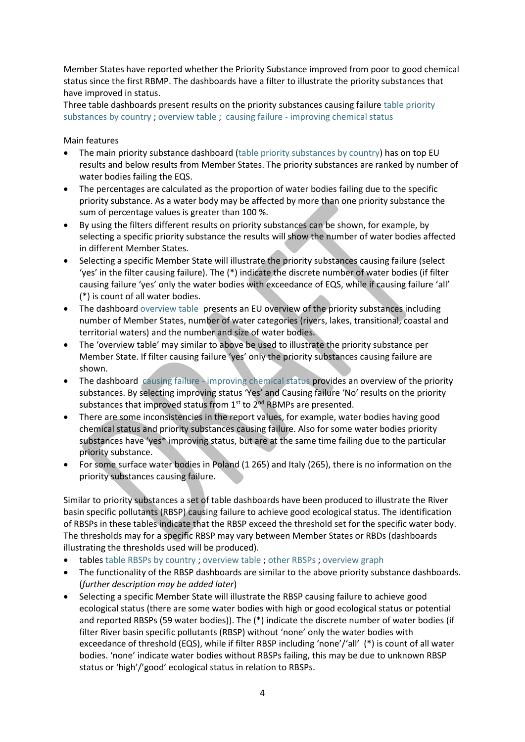Member States have reported whether the Priority Substance improved from poor to good chemical status since the first RBMP. The dashboards have a filter to illustrate the priority substances that have improved in status.

Three table dashboards present results on the priority substances causing failure [table priority](https://tableau.discomap.eea.europa.eu/t/Wateronline/views/WISE_SOW_PrioritySubstance/SWB_SWPrioritySubstance?:embed=y&:showAppBanner=false&:showShareOptions=true&:display_count=no&:showVizHome=no)  [substances by country](https://tableau.discomap.eea.europa.eu/t/Wateronline/views/WISE_SOW_PrioritySubstance/SWB_SWPrioritySubstance?:embed=y&:showAppBanner=false&:showShareOptions=true&:display_count=no&:showVizHome=no) ; [overview table](https://tableau.discomap.eea.europa.eu/t/Wateronline/views/WISE_SOW_PrioritySubstance/SWB_SWPrioritySubstance_Europe?:embed=y&:showAppBanner=false&:showShareOptions=true&:display_count=no&:showVizHome=no) ; causing failure - [improving chemical status](https://tableau.discomap.eea.europa.eu/t/Wateronline/views/WISE_SOW_PrioritySubstance/SWB_SWPrioritySubstance_Europe_G?:embed=y&:showAppBanner=false&:showShareOptions=true&:display_count=no&:showVizHome=no)

Main features

- The main priority substance dashboard [\(table priority substances by country\)](https://tableau.discomap.eea.europa.eu/t/Wateronline/views/WISE_SOW_PrioritySubstance/SWB_SWPrioritySubstance?:embed=y&:showAppBanner=false&:showShareOptions=true&:display_count=no&:showVizHome=no) has on top EU results and below results from Member States. The priority substances are ranked by number of water bodies failing the EQS.
- The percentages are calculated as the proportion of water bodies failing due to the specific priority substance. As a water body may be affected by more than one priority substance the sum of percentage values is greater than 100 %.
- By using the filters different results on priority substances can be shown, for example, by selecting a specific priority substance the results will show the number of water bodies affected in different Member States.
- Selecting a specific Member State will illustrate the priority substances causing failure (select 'yes' in the filter causing failure). The (\*) indicate the discrete number of water bodies (if filter causing failure 'yes' only the water bodies with exceedance of EQS, while if causing failure 'all' (\*) is count of all water bodies.
- The dashboard [overview table](https://tableau.discomap.eea.europa.eu/t/Wateronline/views/WISE_SOW_PrioritySubstance/SWB_SWPrioritySubstance_Europe?:embed=y&:showAppBanner=false&:showShareOptions=true&:display_count=no&:showVizHome=no) presents an EU overview of the priority substances including number of Member States, number of water categories (rivers, lakes, transitional, coastal and territorial waters) and the number and size of water bodies.
- The 'overview table' may similar to above be used to illustrate the priority substance per Member State. If filter causing failure 'yes' only the priority substances causing failure are shown.
- The dashboard causing failure [improving chemical status](https://tableau.discomap.eea.europa.eu/t/Wateronline/views/WISE_SOW_PrioritySubstance/SWB_SWPrioritySubstance_Europe_G?:embed=y&:showAppBanner=false&:showShareOptions=true&:display_count=no&:showVizHome=no) provides an overview of the priority substances. By selecting improving status 'Yes' and Causing failure 'No' results on the priority substances that improved status from  $1<sup>st</sup>$  to  $2<sup>nd</sup>$  RBMPs are presented.
- There are some inconsistencies in the report values, for example, water bodies having good chemical status and priority substances causing failure. Also for some water bodies priority substances have 'yes\* improving status, but are at the same time failing due to the particular priority substance.
- For some surface water bodies in Poland (1 265) and Italy (265), there is no information on the priority substances causing failure.

Similar to priority substances a set of table dashboards have been produced to illustrate the River basin specific pollutants (RBSP) causing failure to achieve good ecological status. The identification of RBSPs in these tables indicate that the RBSP exceed the threshold set for the specific water body. The thresholds may for a specific RBSP may vary between Member States or RBDs (dashboards illustrating the thresholds used will be produced).

- tables [table RBSPs by country](https://tableau.discomap.eea.europa.eu/t/Wateronline/views/WISE_SOW_FailingRBSP/SWB_FailingRBSP?:embed=y&:showAppBanner=false&:showShareOptions=true&:display_count=no&:showVizHome=no) ; [overview table](https://tableau.discomap.eea.europa.eu/t/Wateronline/views/WISE_SOW_FailingRBSP/SWB_FailingRBSP_Europe?:embed=y&:showAppBanner=false&:showShareOptions=true&:display_count=no&:showVizHome=no) ; [other RBSPs](https://tableau.discomap.eea.europa.eu/t/Wateronline/views/WISE_SOW_FailingRBSPOther/SWB_FailingRBSPOther?:embed=y&:showAppBanner=false&:showShareOptions=true&:display_count=no&:showVizHome=no) ; [overview graph](https://tableau.discomap.eea.europa.eu/t/Wateronline/views/WISE_SOW_FailingRBSP/SWB_FailingRBSP_Europe_G?iframeSizedToWindow=true&:embed=y&:showAppBanner=false&:display_count=no&:showVizHome=no)
- The functionality of the RBSP dashboards are similar to the above priority substance dashboards. (*further description may be added later*)
- Selecting a specific Member State will illustrate the RBSP causing failure to achieve good ecological status (there are some water bodies with high or good ecological status or potential and reported RBSPs (59 water bodies)). The (\*) indicate the discrete number of water bodies (if filter River basin specific pollutants (RBSP) without 'none' only the water bodies with exceedance of threshold (EQS), while if filter RBSP including 'none'/'all' (\*) is count of all water bodies. 'none' indicate water bodies without RBSPs failing, this may be due to unknown RBSP status or 'high'/'good' ecological status in relation to RBSPs.